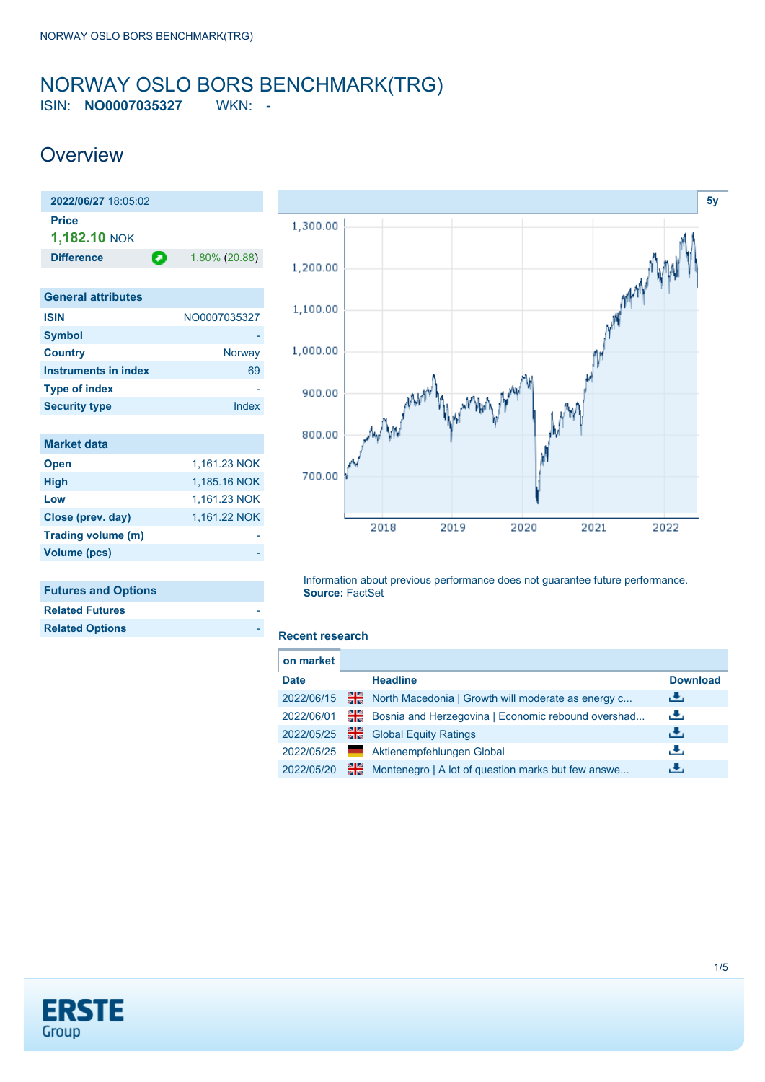### <span id="page-0-0"></span>NORWAY OSLO BORS BENCHMARK(TRG) ISIN: **NO0007035327** WKN: **-**

## **Overview**





| <b>Related Futures</b> |  |
|------------------------|--|
| <b>Related Options</b> |  |
|                        |  |



Information about previous performance does not guarantee future performance. **Source:** FactSet

#### **Recent research**

| on market   |    |                                                    |                 |
|-------------|----|----------------------------------------------------|-----------------|
| <b>Date</b> |    | <b>Headline</b>                                    | <b>Download</b> |
| 2022/06/15  | 꾉쭍 | North Macedonia   Growth will moderate as energy c | ريل             |
| 2022/06/01  | ₩€ | Bosnia and Herzegovina   Economic rebound overshad | æ,              |
| 2022/05/25  | 꾉. | <b>Global Equity Ratings</b>                       | æ,              |
| 2022/05/25  |    | Aktienempfehlungen Global                          | æ,              |
| 2022/05/20  | ₩€ | Montenegro   A lot of question marks but few answe | æ,              |
|             |    |                                                    |                 |

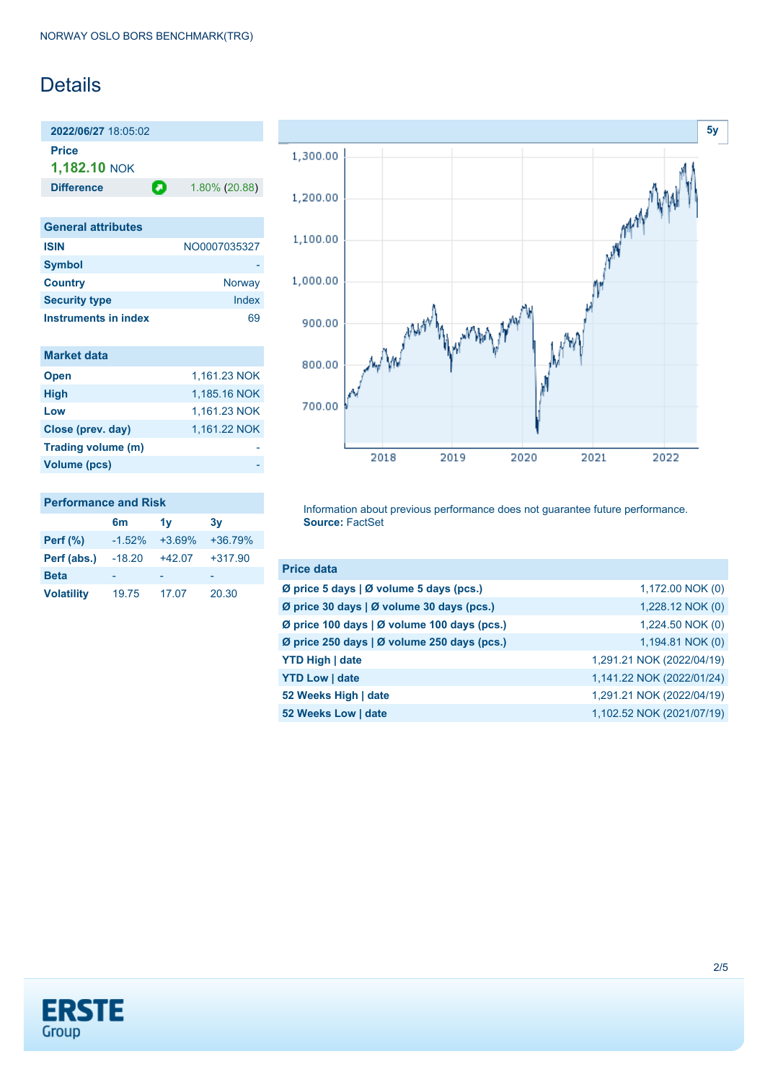## Details

**2022/06/27** 18:05:02 **Price 1,182.10** NOK

**Difference 1.80% (20.88)** 

| <b>General attributes</b> |              |
|---------------------------|--------------|
| <b>ISIN</b>               | NO0007035327 |
| <b>Symbol</b>             |              |
| <b>Country</b>            | Norway       |
| <b>Security type</b>      | Index        |
| Instruments in index      |              |

| <b>Market data</b> |              |
|--------------------|--------------|
| <b>Open</b>        | 1.161.23 NOK |
| <b>High</b>        | 1,185.16 NOK |
| Low                | 1,161.23 NOK |
| Close (prev. day)  | 1,161.22 NOK |
| Trading volume (m) |              |
| Volume (pcs)       |              |

| <b>Performance and Risk</b> |                           |                      |                          |  |  |
|-----------------------------|---------------------------|----------------------|--------------------------|--|--|
|                             | 6 <sub>m</sub>            | 1v                   | 3v                       |  |  |
| Perf $(\%)$                 |                           | $-1.52\% +3.69\% +3$ |                          |  |  |
|                             | $\sim$ 40.00 $\sim$ 40.07 |                      | $\overline{\phantom{0}}$ |  |  |

| $-1.52%$ | $+3.69\%$ | $+36.79%$ |
|----------|-----------|-----------|
| $-18.20$ | $+42.07$  | $+317.90$ |
| -        |           |           |
| 19.75    | 17.07     | 20.30     |
|          |           |           |



Information about previous performance does not guarantee future performance. **Source:** FactSet

| <b>Price data</b>                           |                           |
|---------------------------------------------|---------------------------|
| Ø price 5 days   Ø volume 5 days (pcs.)     | 1,172.00 NOK (0)          |
| Ø price 30 days   Ø volume 30 days (pcs.)   | 1,228.12 NOK (0)          |
| Ø price 100 days   Ø volume 100 days (pcs.) | 1,224.50 NOK (0)          |
| Ø price 250 days   Ø volume 250 days (pcs.) | 1,194.81 NOK (0)          |
| <b>YTD High   date</b>                      | 1,291.21 NOK (2022/04/19) |
| <b>YTD Low   date</b>                       | 1,141.22 NOK (2022/01/24) |
| 52 Weeks High   date                        | 1,291.21 NOK (2022/04/19) |
| 52 Weeks Low   date                         | 1,102.52 NOK (2021/07/19) |

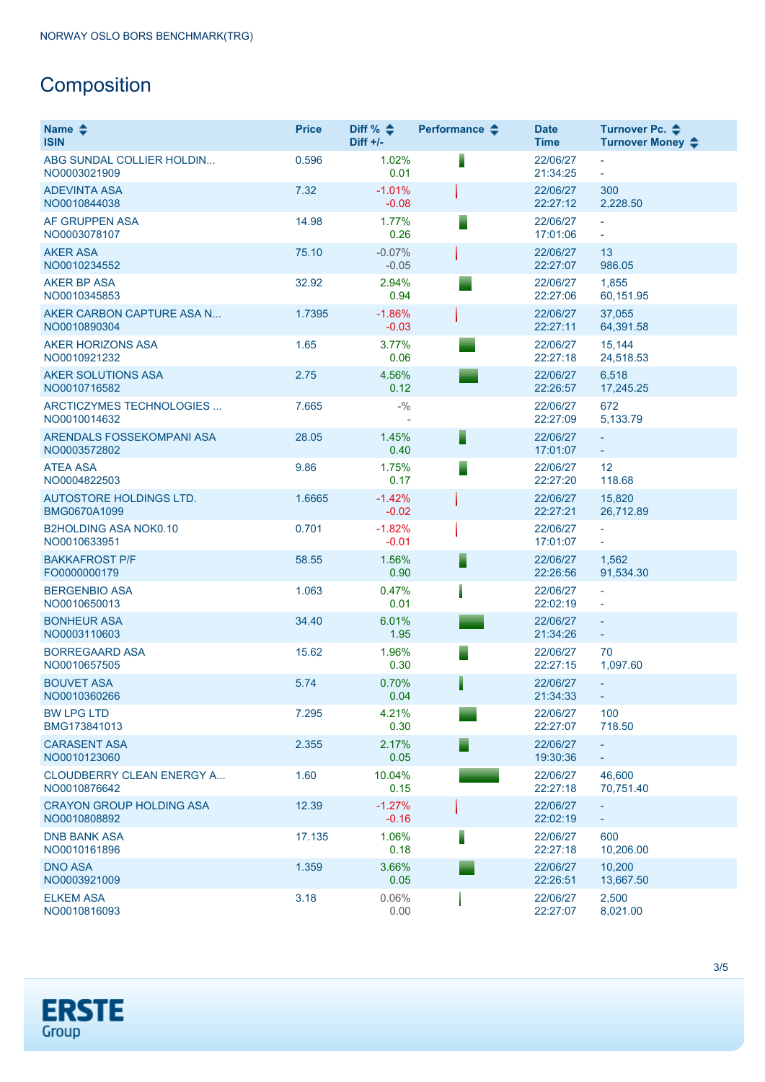# **Composition**

| Name $\triangle$<br><b>ISIN</b>                 | <b>Price</b> | Diff % $\triangleq$<br>$Diff +/-$ | Performance $\triangle$ | <b>Date</b><br><b>Time</b> | Turnover Pc. ♦<br>Turnover Money ♦ |
|-------------------------------------------------|--------------|-----------------------------------|-------------------------|----------------------------|------------------------------------|
| ABG SUNDAL COLLIER HOLDIN<br>NO0003021909       | 0.596        | 1.02%<br>0.01                     |                         | 22/06/27<br>21:34:25       | ÷.                                 |
| <b>ADEVINTA ASA</b><br>NO0010844038             | 7.32         | $-1.01%$<br>$-0.08$               |                         | 22/06/27<br>22:27:12       | 300<br>2,228.50                    |
| AF GRUPPEN ASA<br>NO0003078107                  | 14.98        | 1.77%<br>0.26                     | Ξ                       | 22/06/27<br>17:01:06       | ÷.                                 |
| <b>AKER ASA</b><br>NO0010234552                 | 75.10        | $-0.07%$<br>$-0.05$               |                         | 22/06/27<br>22:27:07       | 13<br>986.05                       |
| <b>AKER BP ASA</b><br>NO0010345853              | 32.92        | 2.94%<br>0.94                     |                         | 22/06/27<br>22:27:06       | 1,855<br>60,151.95                 |
| AKER CARBON CAPTURE ASA N<br>NO0010890304       | 1.7395       | $-1.86%$<br>$-0.03$               |                         | 22/06/27<br>22:27:11       | 37,055<br>64,391.58                |
| <b>AKER HORIZONS ASA</b><br>NO0010921232        | 1.65         | 3.77%<br>0.06                     |                         | 22/06/27<br>22:27:18       | 15,144<br>24,518.53                |
| <b>AKER SOLUTIONS ASA</b><br>NO0010716582       | 2.75         | 4.56%<br>0.12                     |                         | 22/06/27<br>22:26:57       | 6,518<br>17,245.25                 |
| ARCTICZYMES TECHNOLOGIES<br>NO0010014632        | 7.665        | $- \frac{0}{0}$                   |                         | 22/06/27<br>22:27:09       | 672<br>5,133.79                    |
| ARENDALS FOSSEKOMPANI ASA<br>NO0003572802       | 28.05        | 1.45%<br>0.40                     | F                       | 22/06/27<br>17:01:07       | $\equiv$<br>÷.                     |
| <b>ATEA ASA</b><br>NO0004822503                 | 9.86         | 1.75%<br>0.17                     | ⋾                       | 22/06/27<br>22:27:20       | 12<br>118.68                       |
| AUTOSTORE HOLDINGS LTD.<br>BMG0670A1099         | 1.6665       | $-1.42%$<br>$-0.02$               |                         | 22/06/27<br>22:27:21       | 15,820<br>26,712.89                |
| <b>B2HOLDING ASA NOK0.10</b><br>NO0010633951    | 0.701        | $-1.82%$<br>$-0.01$               |                         | 22/06/27<br>17:01:07       | ÷.<br>÷                            |
| <b>BAKKAFROST P/F</b><br>FO0000000179           | 58.55        | 1.56%<br>0.90                     | Ħ                       | 22/06/27<br>22:26:56       | 1,562<br>91,534.30                 |
| <b>BERGENBIO ASA</b><br>NO0010650013            | 1.063        | 0.47%<br>0.01                     |                         | 22/06/27<br>22:02:19       | $\overline{\phantom{a}}$<br>ä,     |
| <b>BONHEUR ASA</b><br>NO0003110603              | 34.40        | 6.01%<br>1.95                     |                         | 22/06/27<br>21:34:26       | ÷.<br>÷,                           |
| <b>BORREGAARD ASA</b><br>NO0010657505           | 15.62        | 1.96%<br>0.30                     | ⋾                       | 22/06/27<br>22:27:15       | 70<br>1,097.60                     |
| <b>BOUVET ASA</b><br>NO0010360266               | 5.74         | 0.70%<br>0.04                     |                         | 22/06/27<br>21:34:33       | ÷.                                 |
| <b>BW LPG LTD</b><br>BMG173841013               | 7.295        | 4.21%<br>0.30                     |                         | 22/06/27<br>22:27:07       | 100<br>718.50                      |
| <b>CARASENT ASA</b><br>NO0010123060             | 2.355        | 2.17%<br>0.05                     | Ξ                       | 22/06/27<br>19:30:36       | ÷.                                 |
| CLOUDBERRY CLEAN ENERGY A<br>NO0010876642       | 1.60         | 10.04%<br>0.15                    |                         | 22/06/27<br>22:27:18       | 46,600<br>70,751.40                |
| <b>CRAYON GROUP HOLDING ASA</b><br>NO0010808892 | 12.39        | $-1.27%$<br>$-0.16$               |                         | 22/06/27<br>22:02:19       | ÷.<br>÷,                           |
| <b>DNB BANK ASA</b><br>NO0010161896             | 17.135       | 1.06%<br>0.18                     |                         | 22/06/27<br>22:27:18       | 600<br>10,206.00                   |
| <b>DNO ASA</b><br>NO0003921009                  | 1.359        | 3.66%<br>0.05                     |                         | 22/06/27<br>22:26:51       | 10,200<br>13,667.50                |
| <b>ELKEM ASA</b><br>NO0010816093                | 3.18         | 0.06%<br>0.00                     |                         | 22/06/27<br>22:27:07       | 2,500<br>8,021.00                  |

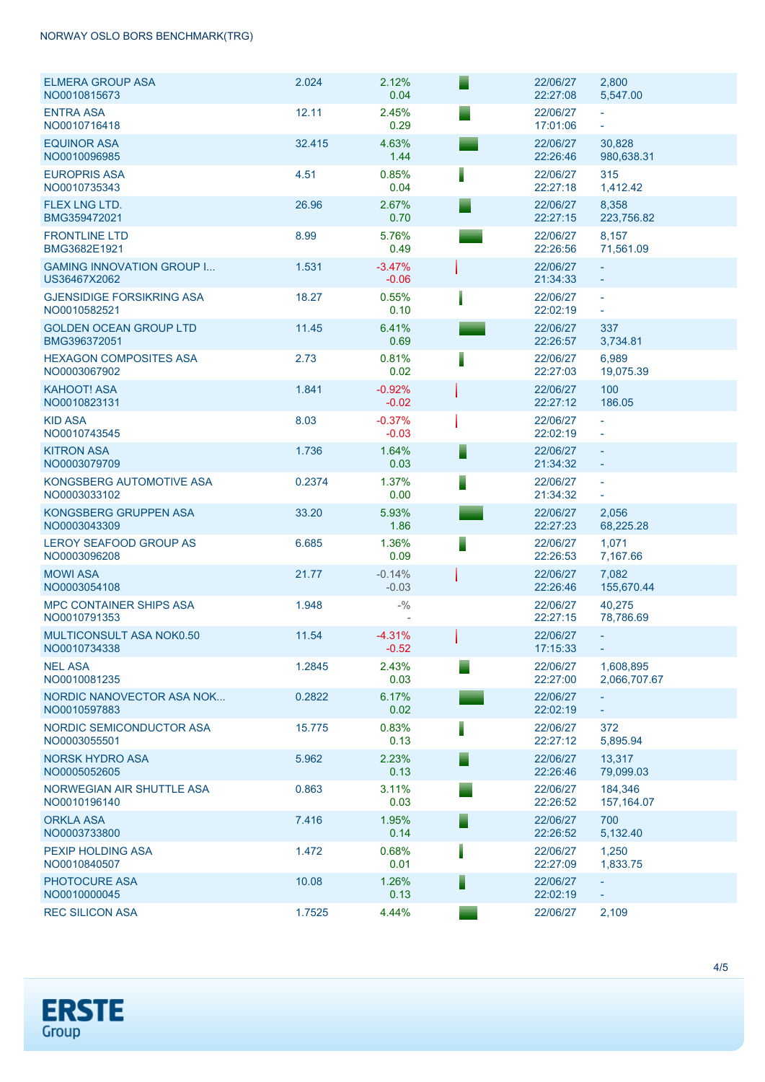### NORWAY OSLO BORS BENCHMARK(TRG)

| <b>ELMERA GROUP ASA</b><br>NO0010815673          | 2.024  | 2.12%<br>0.04       |   | 22/06/27<br>22:27:08 | 2,800<br>5,547.00                    |
|--------------------------------------------------|--------|---------------------|---|----------------------|--------------------------------------|
| <b>ENTRA ASA</b><br>NO0010716418                 | 12.11  | 2.45%<br>0.29       | Ξ | 22/06/27<br>17:01:06 | $\sim$<br>$\equiv$                   |
| <b>EQUINOR ASA</b><br>NO0010096985               | 32.415 | 4.63%<br>1.44       |   | 22/06/27<br>22:26:46 | 30,828<br>980,638.31                 |
| <b>EUROPRIS ASA</b><br>NO0010735343              | 4.51   | 0.85%<br>0.04       |   | 22/06/27<br>22:27:18 | 315<br>1,412.42                      |
| <b>FLEX LNG LTD.</b><br>BMG359472021             | 26.96  | 2.67%<br>0.70       |   | 22/06/27<br>22:27:15 | 8,358<br>223,756.82                  |
| <b>FRONTLINE LTD</b><br>BMG3682E1921             | 8.99   | 5.76%<br>0.49       |   | 22/06/27<br>22:26:56 | 8,157<br>71,561.09                   |
| <b>GAMING INNOVATION GROUP I</b><br>US36467X2062 | 1.531  | $-3.47%$<br>$-0.06$ |   | 22/06/27<br>21:34:33 | $\equiv$                             |
| <b>GJENSIDIGE FORSIKRING ASA</b><br>NO0010582521 | 18.27  | 0.55%<br>0.10       |   | 22/06/27<br>22:02:19 | $\equiv$<br>$\overline{\phantom{a}}$ |
| <b>GOLDEN OCEAN GROUP LTD</b><br>BMG396372051    | 11.45  | 6.41%<br>0.69       |   | 22/06/27<br>22:26:57 | 337<br>3,734.81                      |
| <b>HEXAGON COMPOSITES ASA</b><br>NO0003067902    | 2.73   | 0.81%<br>0.02       |   | 22/06/27<br>22:27:03 | 6,989<br>19,075.39                   |
| <b>KAHOOT! ASA</b><br>NO0010823131               | 1.841  | $-0.92%$<br>$-0.02$ |   | 22/06/27<br>22:27:12 | 100<br>186.05                        |
| <b>KID ASA</b><br>NO0010743545                   | 8.03   | $-0.37%$<br>$-0.03$ |   | 22/06/27<br>22:02:19 | $\omega$<br>$\bar{\phantom{a}}$      |
| <b>KITRON ASA</b><br>NO0003079709                | 1.736  | 1.64%<br>0.03       |   | 22/06/27<br>21:34:32 | $\sim$<br>$\equiv$                   |
| KONGSBERG AUTOMOTIVE ASA<br>NO0003033102         | 0.2374 | 1.37%<br>0.00       |   | 22/06/27<br>21:34:32 | $\overline{\phantom{a}}$<br>$\equiv$ |
| KONGSBERG GRUPPEN ASA<br>NO0003043309            | 33.20  | 5.93%<br>1.86       |   | 22/06/27<br>22:27:23 | 2,056<br>68,225.28                   |
| <b>LEROY SEAFOOD GROUP AS</b><br>NO0003096208    | 6.685  | 1.36%<br>0.09       |   | 22/06/27<br>22:26:53 | 1,071<br>7,167.66                    |
| <b>MOWI ASA</b><br>NO0003054108                  | 21.77  | $-0.14%$<br>$-0.03$ |   | 22/06/27<br>22:26:46 | 7,082<br>155,670.44                  |
| <b>MPC CONTAINER SHIPS ASA</b><br>NO0010791353   | 1.948  | $- \frac{0}{0}$     |   | 22/06/27<br>22:27:15 | 40,275<br>78,786.69                  |
| <b>MULTICONSULT ASA NOK0.50</b><br>NO0010734338  | 11.54  | $-4.31%$<br>$-0.52$ |   | 22/06/27<br>17:15:33 | ÷                                    |
| <b>NEL ASA</b><br>NO0010081235                   | 1.2845 | 2.43%<br>0.03       |   | 22/06/27<br>22:27:00 | 1,608,895<br>2,066,707.67            |
| NORDIC NANOVECTOR ASA NOK<br>NO0010597883        | 0.2822 | 6.17%<br>0.02       |   | 22/06/27<br>22:02:19 | $\omega$ .                           |
| NORDIC SEMICONDUCTOR ASA<br>NO0003055501         | 15.775 | 0.83%<br>0.13       |   | 22/06/27<br>22:27:12 | 372<br>5,895.94                      |
| <b>NORSK HYDRO ASA</b><br>NO0005052605           | 5.962  | 2.23%<br>0.13       |   | 22/06/27<br>22:26:46 | 13,317<br>79,099.03                  |
| NORWEGIAN AIR SHUTTLE ASA<br>NO0010196140        | 0.863  | 3.11%<br>0.03       |   | 22/06/27<br>22:26:52 | 184,346<br>157, 164.07               |
| <b>ORKLA ASA</b><br>NO0003733800                 | 7.416  | 1.95%<br>0.14       |   | 22/06/27<br>22:26:52 | 700<br>5,132.40                      |
| PEXIP HOLDING ASA<br>NO0010840507                | 1.472  | 0.68%<br>0.01       |   | 22/06/27<br>22:27:09 | 1,250<br>1,833.75                    |
| PHOTOCURE ASA<br>NO0010000045                    | 10.08  | 1.26%<br>0.13       |   | 22/06/27<br>22:02:19 | $\equiv$                             |
| <b>REC SILICON ASA</b>                           | 1.7525 | 4.44%               |   | 22/06/27             | 2,109                                |